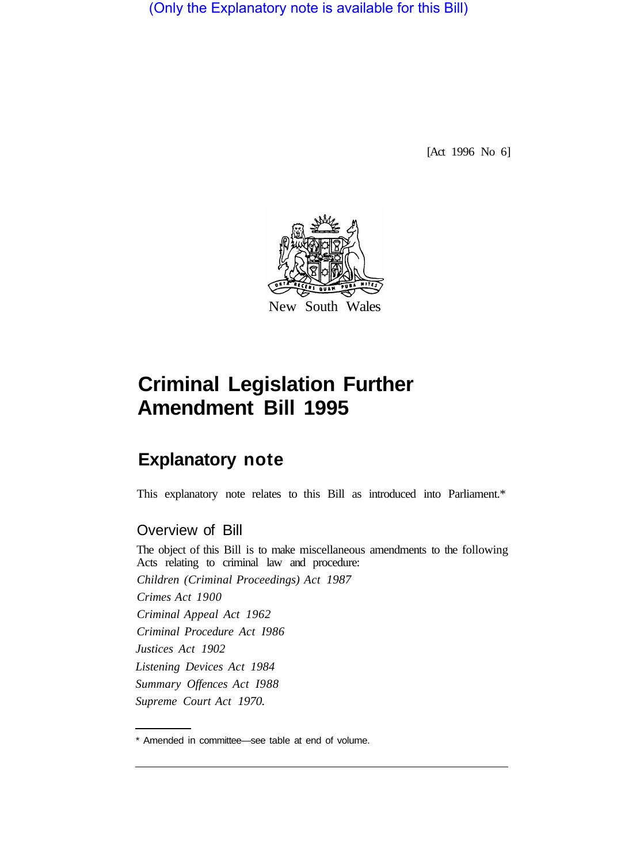(Only the Explanatory note is available for this Bill)

[Act 1996 No 6]



# **Criminal Legislation Further Amendment Bill 1995**

# **Explanatory note**

This explanatory note relates to this Bill as introduced into Parliament.\*

# Overview of Bill

The object of this Bill is to make miscellaneous amendments to the following Acts relating to criminal law and procedure: *Children (Criminal Proceedings) Act 1987 Crimes Act 1900 Criminal Appeal Act 1962 Criminal Procedure Act I986 Justices Act 1902 Listening Devices Act 1984 Summary Offences Act I988 Supreme Court Act 1970.* 

<sup>\*</sup> Amended in committee—see table at end of volume.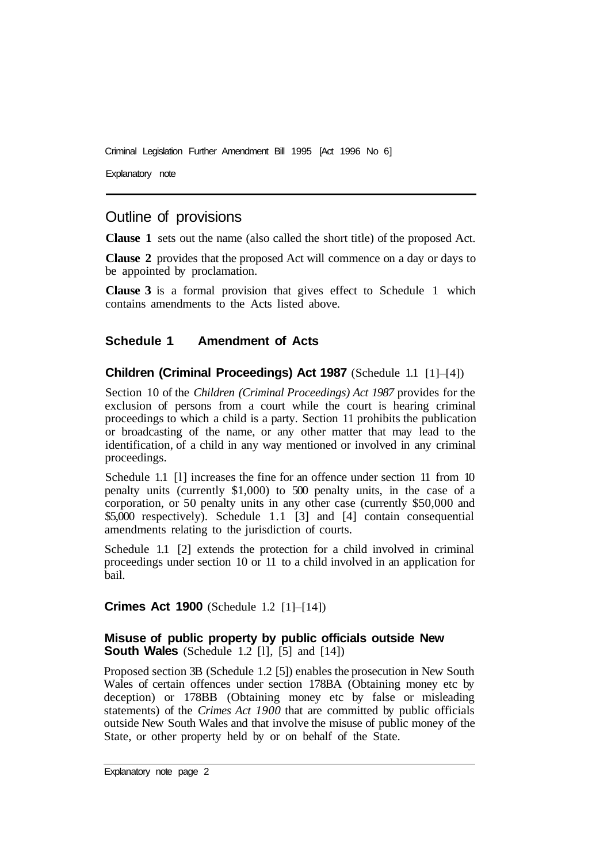Explanatory note

# Outline of provisions

**Clause 1** sets out the name (also called the short title) of the proposed Act.

**Clause 2** provides that the proposed Act will commence on a day or days to be appointed by proclamation.

**Clause 3** is a formal provision that gives effect to Schedule 1 which contains amendments to the Acts listed above.

#### **Schedule 1 Amendment of Acts**

#### **Children (Criminal Proceedings) Act 1987** (Schedule 1.1 [1]–[4])

Section 10 of the *Children (Criminal Proceedings) Act 1987* provides for the exclusion of persons from a court while the court is hearing criminal proceedings to which a child is a party. Section 11 prohibits the publication or broadcasting of the name, or any other matter that may lead to the identification, of a child in any way mentioned or involved in any criminal proceedings.

Schedule 1.1 [l] increases the fine for an offence under section 11 from 10 penalty units (currently \$1,000) to 500 penalty units, in the case of a corporation, or 50 penalty units in any other case (currently \$50,000 and \$5,000 respectively). Schedule 1.1 [3] and [4] contain consequential amendments relating to the jurisdiction of courts.

Schedule 1.1 [2] extends the protection for a child involved in criminal proceedings under section 10 or 11 to a child involved in an application for bail.

**Crimes Act 1900** (Schedule 1.2 [1]–[14])

#### **Misuse of public property by public officials outside New South Wales** (Schedule 1.2 [l], [5] and [14])

Proposed section 3B (Schedule 1.2 [5]) enables the prosecution in New South Wales of certain offences under section 178BA (Obtaining money etc by deception) or 178BB (Obtaining money etc by false or misleading statements) of the *Crimes Act 1900* that are committed by public officials outside New South Wales and that involve the misuse of public money of the State, or other property held by or on behalf of the State.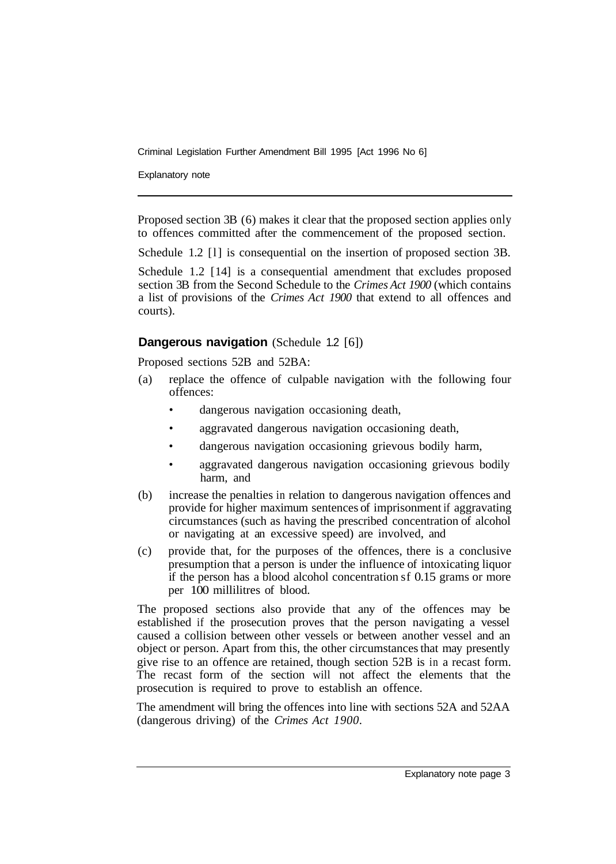Explanatory note

Proposed section 3B (6) makes it clear that the proposed section applies only to offences committed after the commencement of the proposed section.

Schedule 1.2 [l] is consequential on the insertion of proposed section 3B.

Schedule 1.2 [14] is a consequential amendment that excludes proposed section 3B from the Second Schedule to the *Crimes Act 1900* (which contains a list of provisions of the *Crimes Act 1900* that extend to all offences and courts).

#### **Dangerous navigation** (Schedule 1.2 [6])

Proposed sections 52B and 52BA:

- (a) replace the offence of culpable navigation with the following four offences:
	- dangerous navigation occasioning death,
	- aggravated dangerous navigation occasioning death,
	- dangerous navigation occasioning grievous bodily harm,
	- aggravated dangerous navigation occasioning grievous bodily harm, and
- (b) increase the penalties in relation to dangerous navigation offences and provide for higher maximum sentences of imprisonment if aggravating circumstances (such as having the prescribed concentration of alcohol or navigating at an excessive speed) are involved, and
- (c) provide that, for the purposes of the offences, there is a conclusive presumption that a person is under the influence of intoxicating liquor if the person has a blood alcohol concentration sf 0.15 grams or more per 100 millilitres of blood.

The proposed sections also provide that any of the offences may be established if the prosecution proves that the person navigating a vessel caused a collision between other vessels or between another vessel and an object or person. Apart from this, the other circumstances that may presently give rise to an offence are retained, though section 52B is in a recast form. The recast form of the section will not affect the elements that the prosecution is required to prove to establish an offence.

The amendment will bring the offences into line with sections 52A and 52AA (dangerous driving) of the *Crimes Act 1900.*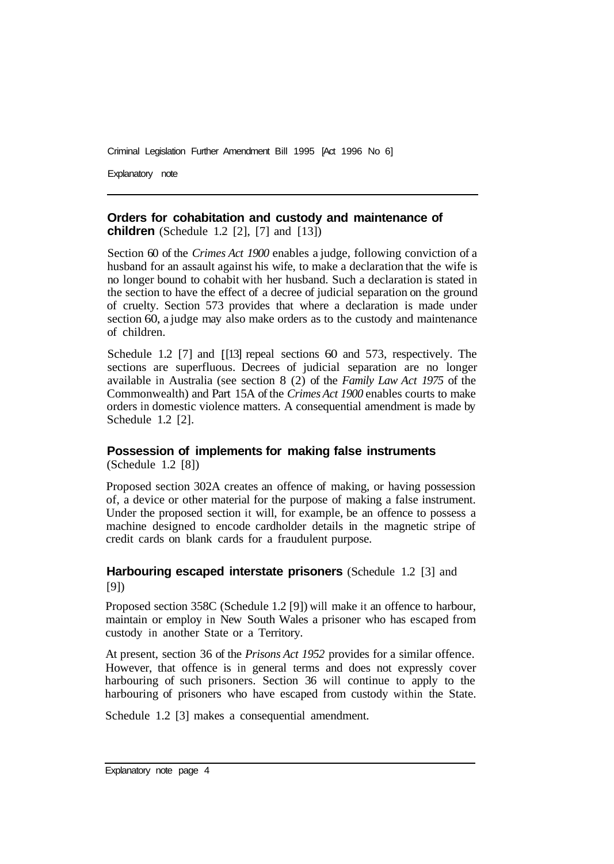Explanatory note

# **Orders for cohabitation and custody and maintenance of**

**children** (Schedule 1.2 [2], [7] and [13])

Section 60 of the *Crimes Act 1900* enables a judge, following conviction of a husband for an assault against his wife, to make a declaration that the wife is no longer bound to cohabit with her husband. Such a declaration is stated in the section to have the effect of a decree of judicial separation on the ground of cruelty. Section 573 provides that where a declaration is made under section 60, a judge may also make orders as to the custody and maintenance of children.

Schedule 1.2 [7] and [ [13] repeal sections 60 and 573, respectively. The sections are superfluous. Decrees of judicial separation are no longer available in Australia (see section 8 (2) of the *Family Law Act 1975* of the Commonwealth) and Part 15A of the *Crimes Act 1900* enables courts to make orders in domestic violence matters. A consequential amendment is made by Schedule 1.2 [2].

## **Possession of implements for making false instruments**

(Schedule 1.2 [8])

Proposed section 302A creates an offence of making, or having possession of, a device or other material for the purpose of making a false instrument. Under the proposed section it will, for example, be an offence to possess a machine designed to encode cardholder details in the magnetic stripe of credit cards on blank cards for a fraudulent purpose.

### **Harbouring escaped interstate prisoners** (Schedule 1.2 [3] and [9])

Proposed section 358C (Schedule 1.2 [9]) will make it an offence to harbour, maintain or employ in New South Wales a prisoner who has escaped from custody in another State or a Territory.

At present, section 36 of the *Prisons Act 1952* provides for a similar offence. However, that offence is in general terms and does not expressly cover harbouring of such prisoners. Section 36 will continue to apply to the harbouring of prisoners who have escaped from custody within the State.

Schedule 1.2 [3] makes a consequential amendment.

Explanatory note page 4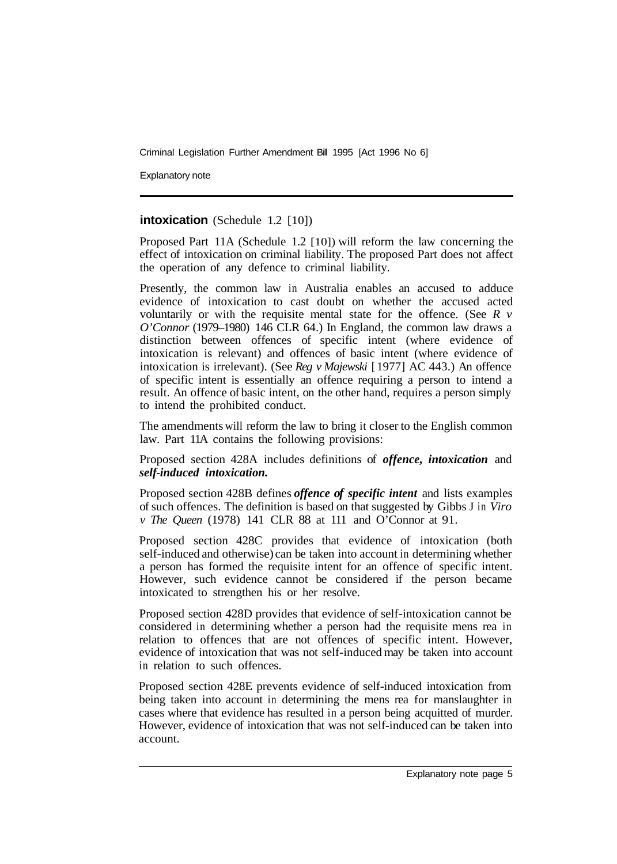Explanatory note

#### **intoxication** (Schedule 1.2 [10])

Proposed Part 11A (Schedule 1.2 [10]) will reform the law concerning the effect of intoxication on criminal liability. The proposed Part does not affect the operation of any defence to criminal liability.

Presently, the common law in Australia enables an accused to adduce evidence of intoxication to cast doubt on whether the accused acted voluntarily or with the requisite mental state for the offence. (See *R v O'Connor* (1979–1980) 146 CLR 64.) In England, the common law draws a distinction between offences of specific intent (where evidence of intoxication is relevant) and offences of basic intent (where evidence of intoxication is irrelevant). (See *Reg v Majewski* [ 1977] AC 443.) An offence of specific intent is essentially an offence requiring a person to intend a result. An offence of basic intent, on the other hand, requires a person simply to intend the prohibited conduct.

The amendments will reform the law to bring it closer to the English common law. Part 11A contains the following provisions:

Proposed section 428A includes definitions of *offence, intoxication* and *self-induced intoxication.* 

Proposed section 428B defines *offence of specific intent* and lists examples of such offences. The definition is based on that suggested by Gibbs J in *Viro v The Queen* (1978) 141 CLR 88 at 111 and O'Connor at 91.

Proposed section 428C provides that evidence of intoxication (both self-induced and otherwise) can be taken into account in determining whether a person has formed the requisite intent for an offence of specific intent. However, such evidence cannot be considered if the person became intoxicated to strengthen his or her resolve.

Proposed section 428D provides that evidence of self-intoxication cannot be considered in determining whether a person had the requisite mens rea in relation to offences that are not offences of specific intent. However, evidence of intoxication that was not self-induced may be taken into account in relation to such offences.

Proposed section 428E prevents evidence of self-induced intoxication from being taken into account in determining the mens rea for manslaughter in cases where that evidence has resulted in a person being acquitted of murder. However, evidence of intoxication that was not self-induced can be taken into account.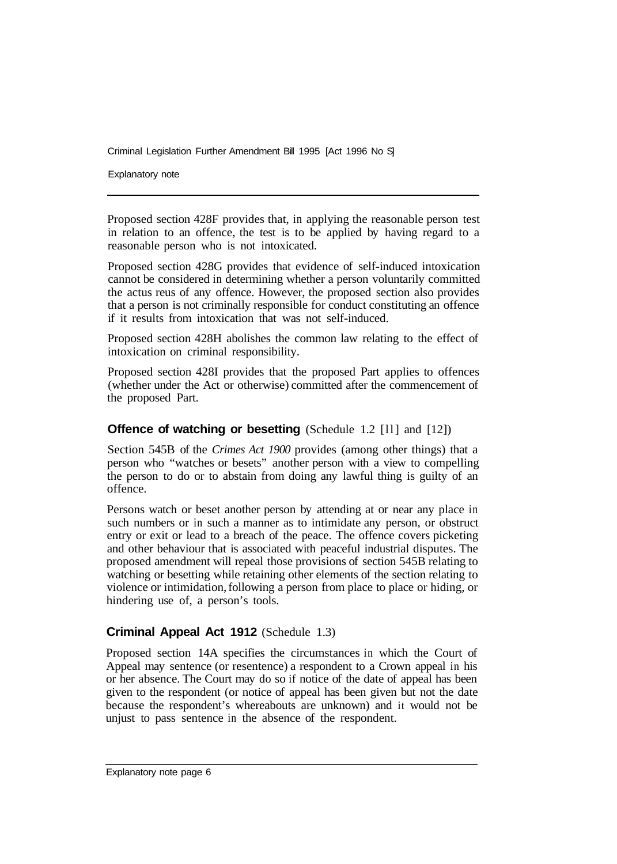Explanatory note

Proposed section 428F provides that, in applying the reasonable person test in relation to an offence, the test is to be applied by having regard to a reasonable person who is not intoxicated.

Proposed section 428G provides that evidence of self-induced intoxication cannot be considered in determining whether a person voluntarily committed the actus reus of any offence. However, the proposed section also provides that a person is not criminally responsible for conduct constituting an offence if it results from intoxication that was not self-induced.

Proposed section 428H abolishes the common law relating to the effect of intoxication on criminal responsibility.

Proposed section 428I provides that the proposed Part applies to offences (whether under the Act or otherwise) committed after the commencement of the proposed Part.

#### **Offence of watching or besetting** (Schedule 1.2 [11] and [12])

Section 545B of the *Crimes Act 1900* provides (among other things) that a person who "watches or besets" another person with a view to compelling the person to do or to abstain from doing any lawful thing is guilty of an offence.

Persons watch or beset another person by attending at or near any place in such numbers or in such a manner as to intimidate any person, or obstruct entry or exit or lead to a breach of the peace. The offence covers picketing and other behaviour that is associated with peaceful industrial disputes. The proposed amendment will repeal those provisions of section 545B relating to watching or besetting while retaining other elements of the section relating to violence or intimidation, following a person from place to place or hiding, or hindering use of, a person's tools.

#### **Criminal Appeal Act 1912** (Schedule 1.3)

Proposed section 14A specifies the circumstances in which the Court of Appeal may sentence (or resentence) a respondent to a Crown appeal in his or her absence. The Court may do so if notice of the date of appeal has been given to the respondent (or notice of appeal has been given but not the date because the respondent's whereabouts are unknown) and it would not be unjust to pass sentence in the absence of the respondent.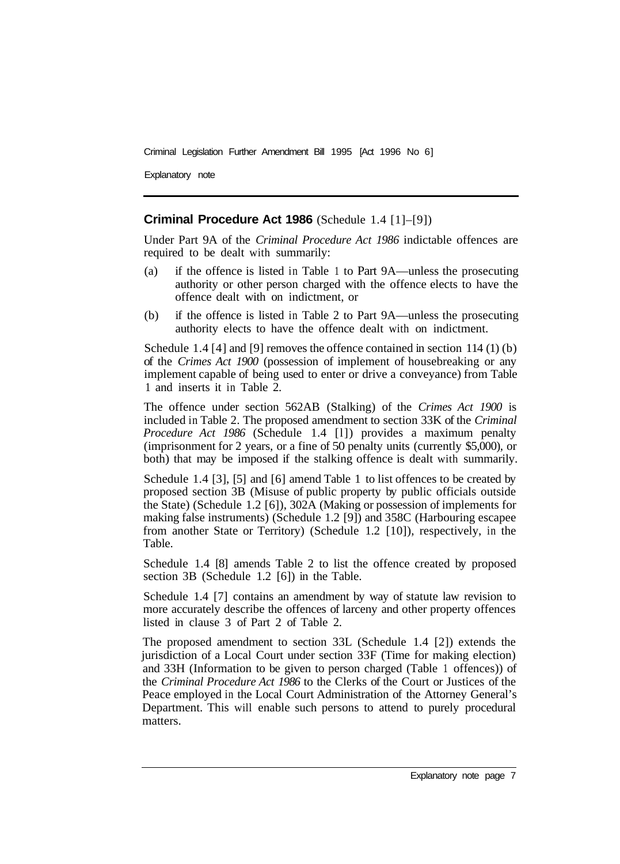Explanatory note

#### **Criminal Procedure Act 1986** (Schedule 1.4 [1]–[9])

Under Part 9A of the *Criminal Procedure Act 1986* indictable offences are required to be dealt with summarily:

- (a) if the offence is listed in Table 1 to Part 9A—unless the prosecuting authority or other person charged with the offence elects to have the offence dealt with on indictment, or
- (b) if the offence is listed in Table 2 to Part 9A—unless the prosecuting authority elects to have the offence dealt with on indictment.

Schedule 1.4 [4] and [9] removes the offence contained in section 114 (1) (b) of the *Crimes Act 1900* (possession of implement of housebreaking or any implement capable of being used to enter or drive a conveyance) from Table 1 and inserts it in Table 2.

The offence under section 562AB (Stalking) of the *Crimes Act 1900* is included in Table 2. The proposed amendment to section 33K of the *Criminal Procedure Act 1986* (Schedule 1.4 [l]) provides a maximum penalty (imprisonment for 2 years, or a fine of 50 penalty units (currently \$5,000), or both) that may be imposed if the stalking offence is dealt with summarily.

Schedule 1.4 [3], [5] and [6] amend Table 1 to list offences to be created by proposed section 3B (Misuse of public property by public officials outside the State) (Schedule 1.2 [6]), 302A (Making or possession of implements for making false instruments) (Schedule 1.2 [9]) and 358C (Harbouring escapee from another State or Territory) (Schedule 1.2 [10]), respectively, in the Table.

Schedule 1.4 [8] amends Table 2 to list the offence created by proposed section 3B (Schedule 1.2 [6]) in the Table.

Schedule 1.4 [7] contains an amendment by way of statute law revision to more accurately describe the offences of larceny and other property offences listed in clause 3 of Part 2 of Table 2.

The proposed amendment to section 33L (Schedule 1.4 [2]) extends the jurisdiction of a Local Court under section 33F (Time for making election) and 33H (Information to be given to person charged (Table 1 offences)) of the *Criminal Procedure Act 1986* to the Clerks of the Court or Justices of the Peace employed in the Local Court Administration of the Attorney General's Department. This will enable such persons to attend to purely procedural matters.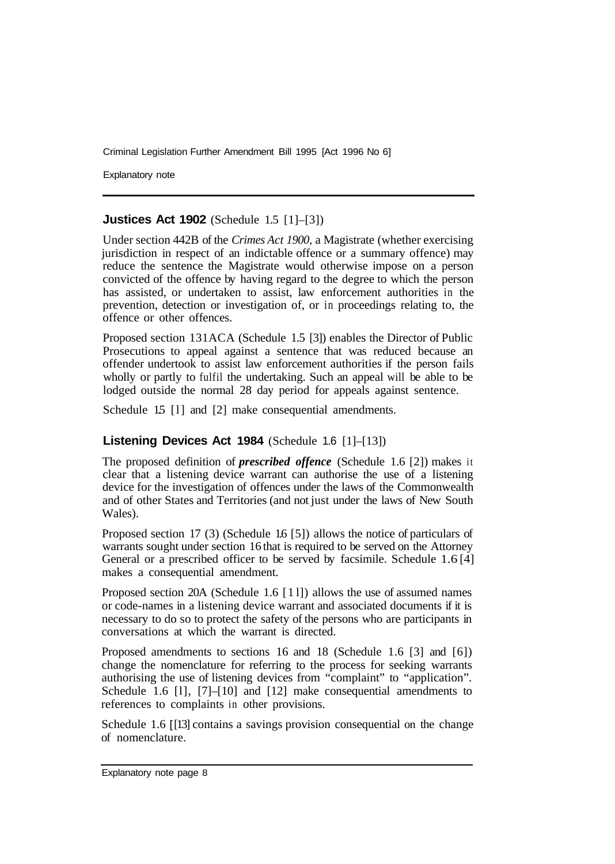Explanatory note

#### **Justices Act 1902** (Schedule 1.5 [1]–[3])

Under section 442B of the *Crimes Act 1900,* a Magistrate (whether exercising jurisdiction in respect of an indictable offence or a summary offence) may reduce the sentence the Magistrate would otherwise impose on a person convicted of the offence by having regard to the degree to which the person has assisted, or undertaken to assist, law enforcement authorities in the prevention, detection or investigation of, or in proceedings relating to, the offence or other offences.

Proposed section 131ACA (Schedule 1.5 [3]) enables the Director of Public Prosecutions to appeal against a sentence that was reduced because an offender undertook to assist law enforcement authorities if the person fails wholly or partly to fulfil the undertaking. Such an appeal will be able to be lodged outside the normal 28 day period for appeals against sentence.

Schedule 15 [1] and [2] make consequential amendments.

#### **Listening Devices Act 1984** (Schedule 1.6 [1]–[13])

The proposed definition of *prescribed offence* (Schedule 1.6 [2]) makes it clear that a listening device warrant can authorise the use of a listening device for the investigation of offences under the laws of the Commonwealth and of other States and Territories (and not just under the laws of New South Wales).

Proposed section 17 (3) (Schedule 16 [5]) allows the notice of particulars of warrants sought under section 16 that is required to be served on the Attorney General or a prescribed officer to be served by facsimile. Schedule 1.6 [4] makes a consequential amendment.

Proposed section 20A (Schedule 1.6 [ 1 l]) allows the use of assumed names or code-names in a listening device warrant and associated documents if it is necessary to do so to protect the safety of the persons who are participants in conversations at which the warrant is directed.

Proposed amendments to sections 16 and 18 (Schedule 1.6 [3] and [6]) change the nomenclature for referring to the process for seeking warrants authorising the use of listening devices from "complaint" to "application". Schedule 1.6 [1], [7]–[10] and [12] make consequential amendments to references to complaints in other provisions.

Schedule 1.6 [13] contains a savings provision consequential on the change of nomenclature.

Explanatory note page 8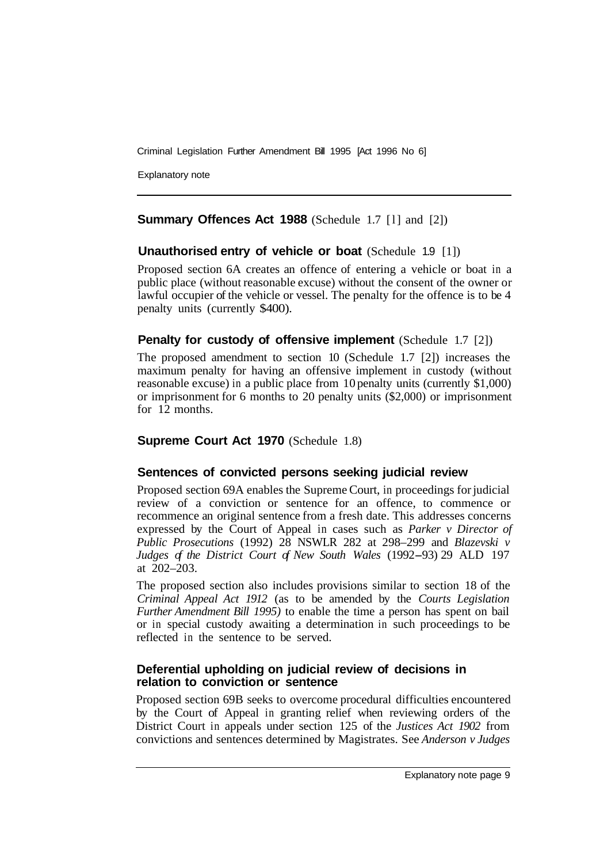Explanatory note

## **Summary Offences Act 1988** (Schedule 1.7 [l] and [2])

## **Unauthorised entry of vehicle or boat** (Schedule 1.9 [1])

Proposed section 6A creates an offence of entering a vehicle or boat in a public place (without reasonable excuse) without the consent of the owner or lawful occupier of the vehicle or vessel. The penalty for the offence is to be 4 penalty units (currently \$400).

## **Penalty for custody of offensive implement** (Schedule 1.7 [2])

The proposed amendment to section 10 (Schedule 1.7 [2]) increases the maximum penalty for having an offensive implement in custody (without reasonable excuse) in a public place from 10 penalty units (currently \$1,000) or imprisonment for 6 months to 20 penalty units (\$2,000) or imprisonment for 12 months.

# **Supreme Court Act 1970** (Schedule 1.8)

# **Sentences of convicted persons seeking judicial review**

Proposed section 69A enables the Supreme Court, in proceedings for judicial review of a conviction or sentence for an offence, to commence or recommence an original sentence from a fresh date. This addresses concerns expressed by the Court of Appeal in cases such as *Parker v Director of Public Prosecutions* (1992) 28 NSWLR 282 at 298–299 and *Blazevski v Judges of the District Court of New South Wales* (1992-93) 29 ALD 197 at 202–203.

The proposed section also includes provisions similar to section 18 of the *Criminal Appeal Act 1912* (as to be amended by the *Courts Legislation Further Amendment Bill 1995)* to enable the time a person has spent on bail or in special custody awaiting a determination in such proceedings to be reflected in the sentence to be served.

#### **Deferential upholding on judicial review of decisions in relation to conviction or sentence**

Proposed section 69B seeks to overcome procedural difficulties encountered by the Court of Appeal in granting relief when reviewing orders of the District Court in appeals under section 125 of the *Justices Act 1902* from convictions and sentences determined by Magistrates. See *Anderson v Judges*